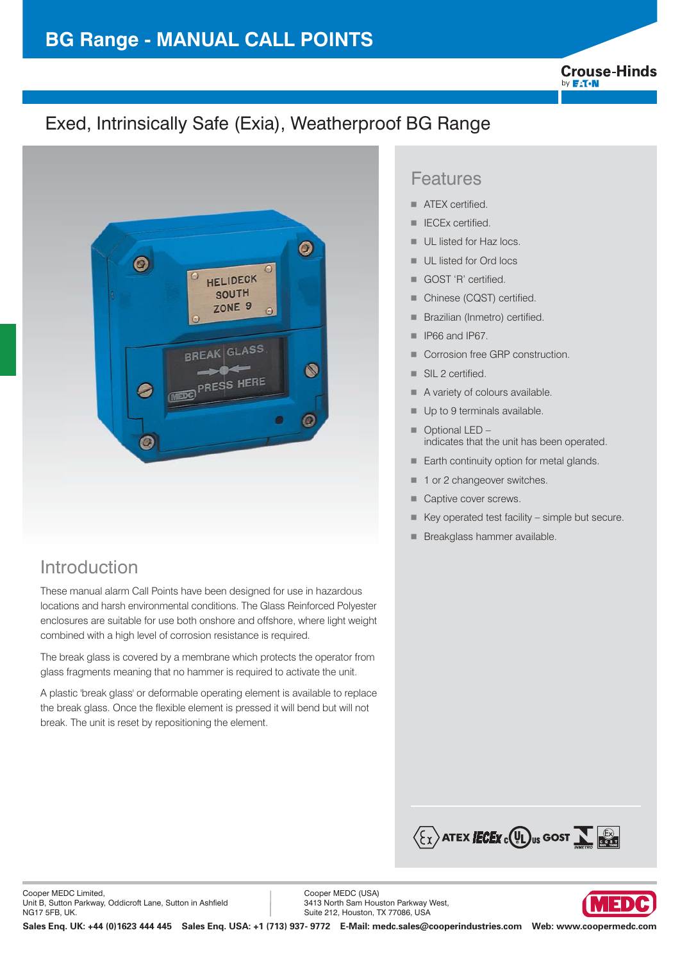# **BG Range - MANUAL CALL POINTS**

**Crouse-Hinds** by **F:T.N** 

# Exed, Intrinsically Safe (Exia), Weatherproof BG Range



## Introduction

These manual alarm Call Points have been designed for use in hazardous locations and harsh environmental conditions. The Glass Reinforced Polyester enclosures are suitable for use both onshore and offshore, where light weight combined with a high level of corrosion resistance is required.

The break glass is covered by a membrane which protects the operator from glass fragments meaning that no hammer is required to activate the unit.

A plastic 'break glass' or deformable operating element is available to replace the break glass. Once the flexible element is pressed it will bend but will not break. The unit is reset by repositioning the element.

### Features

- -ATEX certified.
- -IECEx certified.
- -UL listed for Haz locs.
- -UL listed for Ord locs
- -GOST 'R' certified.
- -Chinese (CQST) certified.
- -Brazilian (Inmetro) certified.
- -IP66 and IP67.
- -Corrosion free GRP construction.
- -SIL 2 certified.
- -A variety of colours available.
- -Up to 9 terminals available.
- - Optional LED – indicates that the unit has been operated.
- -Earth continuity option for metal glands.
- -1 or 2 changeover switches.
- -Captive cover screws.
- -Key operated test facility – simple but secure.
- -Breakglass hammer available.



Cooper MEDC (USA) 3413 North Sam Houston Parkway West, Suite 212, Houston, TX 77086, USA

**Sales Enq. UK: +44 (0)1623 444 445 Sales Enq. USA: +1 (713) 937- 9772 E-Mail: medc.sales@cooperindustries.com Web: www.coopermedc.com**

13